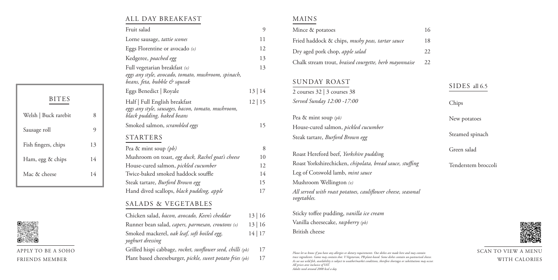SIDES all 6.5

|              |    | Fruit salad                                                                         | 9     | Mince & potatoes                                             | 16    |
|--------------|----|-------------------------------------------------------------------------------------|-------|--------------------------------------------------------------|-------|
|              |    | Lorne sausage, tattie scones                                                        | 11    | Fried haddock & chips, mushy peas, tartar sauce<br>18        |       |
|              |    | Eggs Florentine or avocado $(v)$                                                    | 12    | Dry aged pork chop, apple salad<br>22                        |       |
|              |    | Kedgeree, poached egg                                                               | 13    | Chalk stream trout, braised courgette, herb mayonnaise<br>22 |       |
|              |    | Full vegetarian breakfast (v)                                                       | 13    |                                                              |       |
|              |    | eggs any style, avocado, tomato, mushroom, spinach,<br>beans, feta, bubble & squeak |       | SUNDAY ROAST                                                 |       |
|              |    | Eggs Benedict   Royale                                                              | 13 14 | 2 courses $32 \mid 3$ courses $38$                           | SID.  |
| <b>BITES</b> |    | Half   Full English breakfast                                                       | 12 15 | Served Sunday 12:00 -17:00                                   | Chips |
| ck rarebit   | 8  | eggs any style, sausages, bacon, tomato, mushroom,<br>black pudding, baked beans    |       | Pea & mint soup $(pb)$                                       | New p |
|              | 9  | Smoked salmon, scrambled eggs                                                       | 15    | House-cured salmon, pickled cucumber                         |       |
|              |    | <b>STARTERS</b>                                                                     |       | Steak tartare, Burford Brown egg                             | Steam |
| s, chips     | 13 | Pea & mint soup $(pb)$                                                              | 8     |                                                              | Green |
| & chips      | 14 | Mushroom on toast, egg duck, Rachel goat's cheese                                   | 10    | Roast Hereford beef, Yorkshire pudding                       |       |
|              |    | House-cured salmon, pickled cucumber                                                | 12    | Roast Yorkshirechicken, chipolata, bread sauce, stuffing     | Tende |
| ese          | 14 | Twice-baked smoked haddock souffle                                                  | 14    | Leg of Cotswold lamb, mint sauce                             |       |
|              |    | Steak tartare, Burford Brown egg                                                    | 15    | Mushroom Wellington $(v)$                                    |       |
|              |    | Hand dived scallops, black pudding, apple                                           | 17    | All served with roast potatoes, cauliflower cheese, seasonal |       |
|              |    | <b>SALADS &amp; VEGETABLES</b>                                                      |       | vegetables.                                                  |       |
|              |    | Chicken salad, bacon, avocado, Keen's cheddar                                       | 13 16 | Sticky toffee pudding, vanilla ice cream                     |       |
|              |    | Runner bean salad, capers, parmesan, croutons (v)                                   | 13 16 | Vanilla cheesecake, raspberry (pb)                           |       |
|              |    | Smoked mackerel, oak leaf, soft boiled egg,                                         | 14 17 | <b>British</b> cheese                                        |       |
|              |    |                                                                                     |       |                                                              |       |

## ALL DAY BREAKFAST

| Mince & potatoes                                                            |  |
|-----------------------------------------------------------------------------|--|
| Fried haddock & chips, mushy peas, tartar sauce                             |  |
| Dry aged pork chop, apple salad                                             |  |
| Chalk stream trout, braised courgette, herb mayonnaise                      |  |
| SUNDAY ROAST                                                                |  |
| 2 courses $32 \mid 3$ courses $38$                                          |  |
| Served Sunday 12:00 -17:00                                                  |  |
| Pea & mint soup $(pb)$                                                      |  |
| House-cured salmon, <i>pickled cucumber</i>                                 |  |
| Steak tartare, Burford Brown egg                                            |  |
| Roast Hereford beef, Yorkshire pudding                                      |  |
| Roast Yorkshirechicken, chipolata, bread sauce, stuffing                    |  |
| Leg of Cotswold lamb, <i>mint sauce</i>                                     |  |
| Mushroom Wellington $(v)$                                                   |  |
| All served with roast potatoes, cauliflower cheese, seasonal<br>vegetables. |  |
| Sticky toffee pudding, vanilla ice cream                                    |  |
| Vanilla cheesecake, raspberry (pb)                                          |  |
| <b>British</b> cheese                                                       |  |

*yoghurt dressing*

Grilled hispi cabbage, *rocket, sunflower seed, chilli (pb)* 17 Plant based cheeseburger, *pickle, sweet potato fries (pb)* 17

#### MAINS

New potatoes

Steamed spinach

Green salad

Tenderstem broccoli



APPLY TO BE A SOHO FRIENDS MEMBER

SCAN TO VIEW A MENU WITH CALORIES

| Please let us know if you have any allergies or dietary requirements. Our dishes are made here and may contain             |
|----------------------------------------------------------------------------------------------------------------------------|
| trace ingredients. Game may contain shot. V: Vegetarian, PB:plant-based. Some dishes contain un-pasteurised cheese.        |
| As we use wild fish, availability is subject to weather/market conditions, therefore shortages or substitutions may occur. |
| All prices aree inclusice of VAT.                                                                                          |
| Adults need around 2000 kcal a day.                                                                                        |

| <b>BITES</b>         |    |
|----------------------|----|
| Welsh   Buck rarebit | 8  |
| Sausage roll         |    |
| Fish fingers, chips  | 13 |
| Ham, egg & chips     | 14 |
| Mac & cheese         | 14 |
|                      |    |